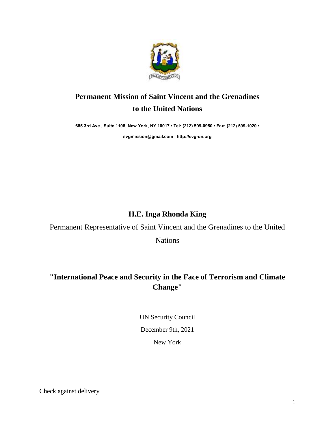

## **Permanent Mission of Saint Vincent and the Grenadines to the United Nations**

**685 3rd Ave., Suite 1108, New York, NY 10017 • Tel: (212) 599-0950 • Fax: (212) 599-1020 •** 

**[svgmission@gmail.com](mailto:svgmission@gmail.com) [| http://svg-un.org](http://svg-un.org/)**

## **H.E. Inga Rhonda King**

Permanent Representative of Saint Vincent and the Grenadines to the United

Nations

## **"International Peace and Security in the Face of Terrorism and Climate Change"**

UN Security Council December 9th, 2021 New York

Check against delivery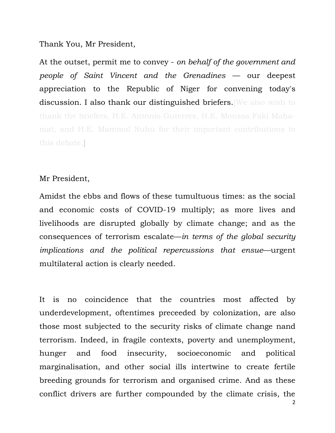Thank You, Mr President,

At the outset, permit me to convey - *on behalf of the government and people of Saint Vincent and the Grenadines* — our deepest appreciation to the Republic of Niger for convening today's discussion. I also thank our distinguished briefers. We also wish to thank the briefers, H.E. António Guterres, H.E. Moussa Faki Mahamat, and H.E. Mammal Nuhu for their important contributions to this debate.]

## Mr President,

Amidst the ebbs and flows of these tumultuous times: as the social and economic costs of COVID-19 multiply; as more lives and livelihoods are disrupted globally by climate change; and as the consequences of terrorism escalate—*in terms of the global security implications and the political repercussions that ensue*—urgent multilateral action is clearly needed.

It is no coincidence that the countries most affected by underdevelopment, oftentimes preceeded by colonization, are also those most subjected to the security risks of climate change nand terrorism. Indeed, in fragile contexts, poverty and unemployment, hunger and food insecurity, socioeconomic and political marginalisation, and other social ills intertwine to create fertile breeding grounds for terrorism and organised crime. And as these conflict drivers are further compounded by the climate crisis, the

2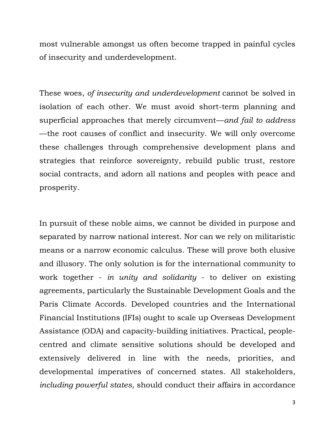most vulnerable amongst us often become trapped in painful cycles of insecurity and underdevelopment.

These woes, *of insecurity and underdevelopment* cannot be solved in isolation of each other. We must avoid short-term planning and superficial approaches that merely circumvent—*and fail to address* —the root causes of conflict and insecurity. We will only overcome these challenges through comprehensive development plans and strategies that reinforce sovereignty, rebuild public trust, restore social contracts, and adorn all nations and peoples with peace and prosperity.

In pursuit of these noble aims, we cannot be divided in purpose and separated by narrow national interest. Nor can we rely on militaristic means or a narrow economic calculus. These will prove both elusive and illusory. The only solution is for the international community to work together - *in unity and solidarity* - to deliver on existing agreements, particularly the Sustainable Development Goals and the Paris Climate Accords. Developed countries and the International Financial Institutions (IFIs) ought to scale up Overseas Development Assistance (ODA) and capacity-building initiatives. Practical, peoplecentred and climate sensitive solutions should be developed and extensively delivered in line with the needs, priorities, and developmental imperatives of concerned states. All stakeholders, *including powerful states*, should conduct their affairs in accordance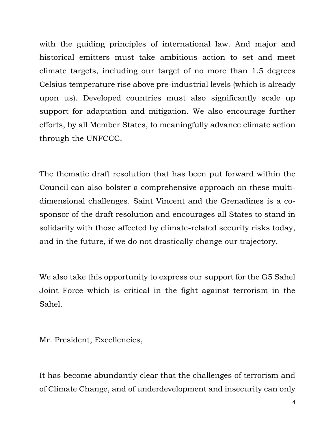with the guiding principles of international law. And major and historical emitters must take ambitious action to set and meet climate targets, including our target of no more than 1.5 degrees Celsius temperature rise above pre-industrial levels (which is already upon us). Developed countries must also significantly scale up support for adaptation and mitigation. We also encourage further efforts, by all Member States, to meaningfully advance climate action through the UNFCCC.

The thematic draft resolution that has been put forward within the Council can also bolster a comprehensive approach on these multidimensional challenges. Saint Vincent and the Grenadines is a cosponsor of the draft resolution and encourages all States to stand in solidarity with those affected by climate-related security risks today, and in the future, if we do not drastically change our trajectory.

We also take this opportunity to express our support for the G5 Sahel Joint Force which is critical in the fight against terrorism in the Sahel.

Mr. President, Excellencies,

It has become abundantly clear that the challenges of terrorism and of Climate Change, and of underdevelopment and insecurity can only